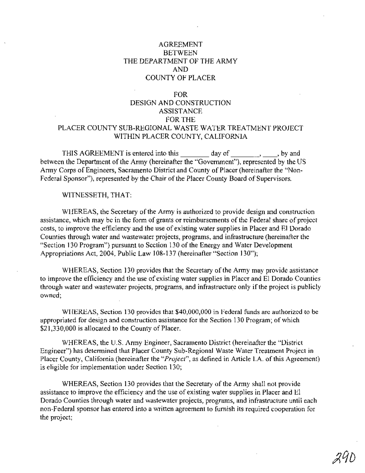# AGREEMENT BETWEEN THE DEPARTMENT OF THE ARMY AND COUNTY OF PLACER

#### FOR

# DESIGN AND CONSTRUCTION **ASSISTANCE** FOR THE PLACER COUNTY SUB-REGIONAL WASTE WATER TREATMENT PROJECT WITHIN PLACER COUNTY, CALIFORNIA

THIS AGREEMENT is entered into this  $\qquad \qquad$  day of  $\qquad \qquad$ , by and between the Department of the Army (hereinafter the "Government"), represented by the US Army Corps of Engineers, Sacramento District and County of Placer (hereinafter the "Non-Federal Sponsor"), represented by the Chair of the Placer County Board of Supervisors.

WITNESSETH, THAT:

WHEREAS, the Secretary of the Army is authorized to provide design and construction assistance, which may be in the form of grants or reimbursements of the Federal share of project costs, to improve the efficiency and the use of existing water supplies in Placer and EI Dorado Counties through water and wastewater projects, programs, and infrastructure (hereinafter the "Section 130 Program") pursuant to Section 130 of the Energy and Water Development Appropriations Act, 2004, Public Law 108-137 (hereinafter "Section 130");

WHEREAS, Section 130 provides that the Secretary of the Army may provide assistance to improve the efficiency and the use of existing water supplies in Placer and EI Dorado Counties through water and wastewater projects, programs, and infrastructure only if the project is publicly owned;

WHEREAS, Section 130 provides that \$40,000,000 in Federal funds are authorized to be appropriated for design and construction assistance for the Section 130 Program; of which \$21,330,000 is allocated to the County of Placer.

WHEREAS, the U.S. Army Engineer, Sacramento District (hereinafter the "District Engineer") has determined that Placer County Sub-Regional Waste Water Treatment Project in Placer County, California (hereinafter the "*Project*", as defined in Article I.A. of this Agreement) is eligible for implementation under Section 130;

WHEREAS, Section 130 provides that the Secretary of the Army shall not provide assistance to improve the efficiency and the use of existing water supplies in Placer and EI Dorado Counties through water and wastewater projects, programs, and infrastructure until each non-Federal sponsor has entered into a written agreement to furnish its required cooperation for the project;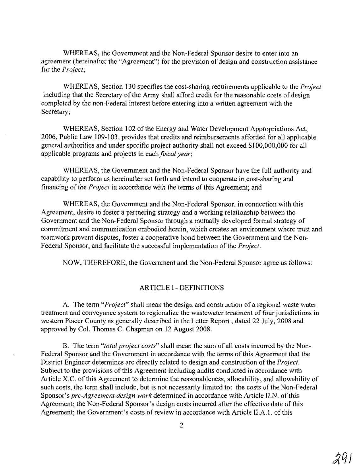WHEREAS, the Government and the Non-Federal Sponsor desire to enter into an agreement (hereinafter the "Agreement") for the provision of design and construction assistance for the *Project;*

WHEREAS, Section 130 specifies the cost-sharing requirements applicable to the *Project* including that the Secretary of the Army shall afford credit for the reasonable costs of design completed by the non-Federal interest before entering into a written agreement with the Secretary;

WHEREAS, Section 102 of the Energy and Water Development Appropriations Act, 2006, Public Law 109-103, provides that credits and reimbursements afforded for all applicable general authorities and under specific project authority shall not exceed \$100,000,000 for all applicable programs and projects in each *fiscal year;*

WHEREAS, the Government and the Non-Federal Sponsor have the full authority and capability to perform as hereinafter set forth and intend to cooperate in.cost-sharing and financing of the *Project* in accordance with the terms of this Agreement; and

WHEREAS, the Government and the Non-Federal Sponsor, in connection with this Agreement, desire to foster a partnering strategy and a working relationship between the Government and the Non-Federal Sponsor through a mutually developed formal strategy of commitment and communication embodied herein, which creates an environment where trust and teamwork prevent disputes, foster a cooperative bond between the Government and the Non-Federal Sponsor, and facilitate the successful implementation of the *Project*.

NOW, THEREFORE, the Government and the Non-Federal Sponsor agree as follows:

#### ARTICLE I - DEFINITIONS

A. The term *"Project"* shall mean the design and construction of a regional waste water treatment and conveyance system to regionalize the wastewater treatment of four jurisdictions in western Placer County as generally described in the Letter Report, dated 22 July, 2008 and approved by Col. Thomas C. Chapman on 12 August 2008.

B. The term *"total project costs"* shall mean the sum of all costs incurred by the Non-Federal Sponsor and the Government in accordance with the terms of this Agreement that the District Engineer determines are directly related to design and construction of the *Project*. Subject to the provisions of this Agreement including audits conducted in accordance with Article X.C. of this Agreement to determine the reasonableness, allocability, and allowability of such costs, the term shall include, but is not necessarily limited to: the costs of the Non-Federal Sponsor's *pre-Agreement design work* determined in accordance with Article II.N. ofthis Agreement; the Non-Federal Sponsor's design costs incurred after the effective date of this Agreement; the Government's costs of review in accordance with Article II.A.1. of this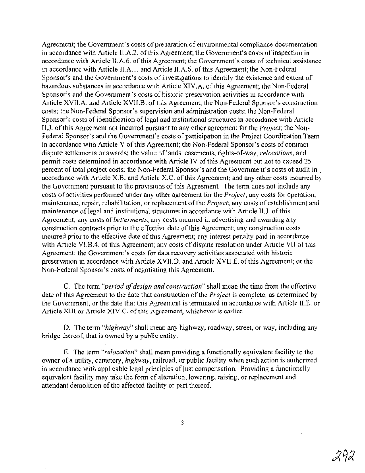Agreement; the Government's costs of preparation of environmental compliance documentation in accordance with Article II.A.2. of this Agreement; the Government's costs of inspection in accordance with Article II.A.6. of this Agreement; the Government's costs of technical assistance in accordance with Article II.A.1. and Article II.A.6. of this Agreement; the Non-Federal Sponsor's and the Government's costs of investigations to identify the existence and extent of hazardous substances in accordance with Article XIV.A. of this Agreement; the Non-Federal Sponsor's and the Government's costs of historic preservation activities in accordance with Article XVII.A. and Article XVII.B. of this Agreement; the Non-Federal Sponsor's construction costs; the Non-Federal Sponsor's supervision and administration costs; the Non-Federal Sponsor's costs of identification of legal and institutional structures in accordance with Article IIJ. ofthis Agreement not incurred pursuant to any other agreement for the *Project;* the Non-Federal Sponsor's and the Government's costs of participation in the Project Coordination Team in accordance with Article V of this Agreement; the Non-Federal Sponsor's costs of contract dispute settlements or awards; the value oflands, easements, rights-of-way, *relocations,* and permit costs determined in accordance with Article IV of this Agreement but not to exceed 25 percent of total project costs; the Non-Federal Sponsor's and the Government's costs of audit in accordance with Article X.B. and Article X.C. of this Agreement; and any other costs incurred by the Government pursuant to the provisions of this Agreement. The term does not include any costs of activities performed under any other agreement for the *Project;* any costs for operation, maintenance, repair, rehabilitation, or replacement ofthe *Project;* any costs of establishment and maintenance of legal and institutional structures in accordance with Article IIJ. of this Agreement; any costs of *betterments;* any costs incurred in advertising and awarding any construction contracts prior to the effective date of this Agreement; any construction costs incurred prior to the effective date of this Agreement; any interest penalty paid in accordance with Article VI.B.4. of this Agreement; any costs of dispute resolution under Article VII of this Agreement; the Government's costs for data recovery activities associated with historic preservation in accordance with Article XVII.D. and Article XVII.E. ofthis Agreement; or the Non-Federal Sponsor's costs of negotiating this Agreement.

C. The term *"period ofdesign and construction"* shall mean the time from the effective date of this Agreement to the date that construction of the *Project* is complete, as determined by the Government, orthe date that this Agreement is terminated in accordance with Article II.E. or Article XIII or Article XIV.C. of this Agreement, whichever is carlier.

D. The term *"highway"* shall mean any highway, roadway, street, or way, including any bridge thereof, that is owned by a public entity.

E. The term *"relocation"* shall mean providing a functionally equivalent facility to the owner of a utility, cemetery, *highway,* railroad, or public facility when such action is authorized in accordance with applicable legal principles of just compensation. Providing a functionally equivalent facility may take the form of alteration, lowering, raising, or replacement and attendant demolition of the affected facility or part thereof.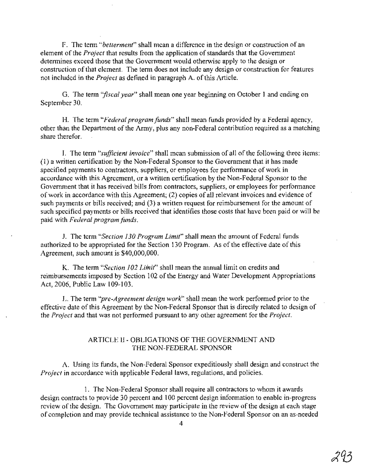F. The term *"betterment"* shall mean a difference in the design or construction of an element of the *Project* that results from the application of standards that the Government determines exceed those that the Government would otherwise apply to the design or construction of that element. The term does not include any design or construction for features not included in the *Project* as defined in paragraph A. of this Article.

G. The term *"fiscal year"* shall mean one year beginning on October 1 and ending on September 30.

H. The term *"Federal program funds"* shall mean funds provided by a Federal agency, other than the Department of the Army, plus any non-Federal contribution required as a matching share therefor.

1. The term *"sufficient invoice"* shall mean submission of all ofthe following three items: (1) a written certification by the Non-Federal Sponsor to the Government that it has made specified payments to contractors, suppliers, or employees for performance of work in accordance with this Agreement, or a written certification by the Non-Federal Sponsor to the Government that it has received bills from contractors, suppliers, or employees for performance of work in accordance with this Agreement; (2) copies of all relevant invoices and evidence of such payments or bills received; and (3) a written request for reimbursement for the amount of such specified payments or bills received that identifies those costs that have been paid or will be paid with *Federal program funds.*

1. The term *"Section 130 Program Limit"* shall mean the amount of Federal funds authorized to be appropriated for the Section 130 Program. As of the effective date of this Agreement, such amount is \$40,000,000.

K. The term *"Section 102 Liinit"* shall mean the annual limit on credits and reimbursements imposed by Section 102 of the Energy and Water Development Appropriations Act, 2006, Public Law 109-103.

L. The term "*pre-Agreement design work*" shall mean the work performed prior to the effective date of this Agreement by the Non-Federal Sponsor that is directly related to design of the *Project* and that was not performed pursuant to any other agreement for the *Project.*

# ARTICLE II - OBLIGATIONS OF THE GOVERNMENT AND THE NON-FEDERAL SPONSOR

A. Using its funds, the Non-Federal Sponsor expeditiously shall design and construct the *Project* in accordance with applicable Federal laws, regulations, and policies.

1. The Non-Federal Sponsor shall require all contractors to whom it awards design contracts to provide 30 percent and 100 percent design information to enable in-progress review of the design. The Government may participate in the review of the design at each stage of completion and may provide technical assistance to the Non-Federal Sponsor on an as-needed

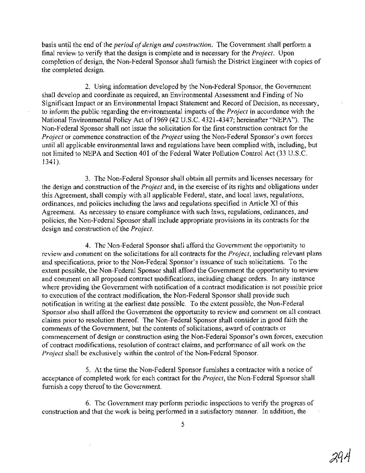basis until the end of the *period of design and construction*. The Government shall perform a final review to verify that the design is complete and is necessary for the *Project.* Upon completion of design, the Non-Federal Sponsor shall furnish the District Engineer with copies of the completed design.

2. Using information developed by the Non-Federal Sponsor, the Government shall develop and coordinate as required, an Environmental Assessment and Finding of No Significant Impact or an Environmental Impact Statement and Record of Decision, as necessary, to inform the public regarding the environmental impacts ofthe *Project* in accordance with the National Environmental Policy Act of 1969 (42 U.S.c. 4321-4347; hereinafter "NEPA"). The Non-Federal Sponsor shall not issue the solicitation for the first construction contract for the *Project* or commence construction of the *Project* using the Non-Federal Sponsor's own forces until all applicable environmental laws and regulations have been complied with, including, but not limited to NEPA and Section 401 of the Federal Water Pollution Control Act (33 U.S.C. 1341).

3. The Non-Federal Sponsor shall obtain all permits and licenses necessary for the design and construction of the *Project* and, in the exercise of its rights and obligations under this Agreement, shall comply with all applicable Federal, state, and local laws, regulations, ordinances, and policies including the laws and regulations specified in Article XI ofthis Agreement. As necessary to ensure compliance with such laws, regulations, ordinances, and policies, the Non-Federal Sponsor shall include appropriate provisions in its contracts for the design and construction of the *Project*.

4. The Non-Federal Sponsor shall afford the Government the opportunity to review and comment on the solicitations for all contracts for the *Project,* including relevant plans and specifications, prior to the Non-Federal Sponsor's issuance of such solicitations. To the extent possible, the Non-Federal Sponsor shall afford the Government the opportunity to review and comment on all proposed contract modifications, including change orders. In any instance where providing the Government with notification of a contract modification is not possible prior to execution of the contract modification, the Non-Federal Sponsor shall provide such notification in writing at the earliest date possible. To the extent possible, the Non-Federal Sponsor also shall afford the Government the opportunity to review and comment on all contract claims prior to resolution thereof. The Non-Federal Sponsor shall consider in good faith the comments of the Government, but the contents of solicitations, award of contracts or commencement of design or construction using the Non-Federal Sponsor's own forces, execution of contract modifications, resolution of contract claims, and performance of all work on the *Project* shall be exclusively within the control of the Non-Federal Sponsor.

5. At the time the Non-Federal Sponsor furnishes a contractor with a notice of acceptance of completed work for each contract for the *Project,* the Non-Federal Sponsor shall furnish a copy thereof to the Government.

6. The Government may perform periodic inspections to verify the progress of construction and that the work is being performed in a satisfactory manner. In addition, the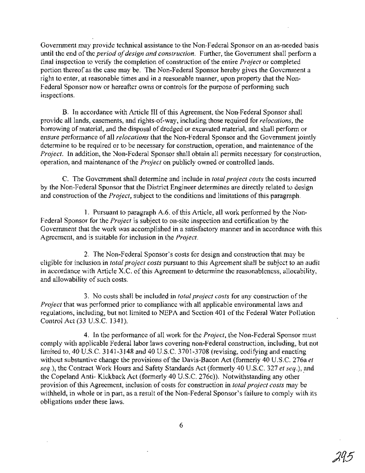Government may provide technical assistance to the Non-Federal Sponsor on an as-needed basis until the end of the *period of design and construction*. Further, the Government shall perform a final inspection to verify the completion of construction of the entire *Project* or completed portion thereof as the case may be. The Non-Federal Sponsor hereby gives the Government a right to enter, at reasonable times and in a reasonable manner, upon property that the Non-Federal Sponsor now or hereafter owns or controls for the purpose of performing such inspections.

B. In accordance with Article III of this Agreement, the Non-Federal Sponsor shall provide all lands, easements, and rights-of-way, including those required for *relocations,* the borrowing of material, and the disposal of dredged or excavated material, and shall perform or ensure performance of all *relocations* that the Non-Federal Sponsor and the Government jointly determine to be required or to be necessary for construction, operation, and maintenance of the *Project.* In addition, the Non-Federal Sponsor shall obtain all permits necessary for construction, operation, and maintenance of the *Project* on publicly owned or controlled lands.

C. The Government shall determine and include in *total project costs* the costs incurred by the Non-Federal Sponsor that the District Engineer determines are directly related to design and construction of the *Project*, subject to the conditions and limitations of this paragraph.

1. Pursuant to paragraph A.6. ofthis Article, all work performed by the Non-Federal Sponsor for the *Project* is subject to on-site inspection and certification by the Government that the work was accomplished in a satisfactory manner and in accordance with this Agreement, and is suitable for inclusion in the *Project.*

2. The Non-Federal Sponsor's costs for design and construction that may be eligible for inclusion in *total project costs* pursuant to this Agreement shall be subject to an audit in accordance with Article X.C. of this Agreement to determine the reasonableness, allocability, and allowability of such costs.

3. No costs shall be included in *total project costs* for any construction ofthe *Project* that was performed prior to compliance with all applicable environmental laws and regulations, including, but not limited to NEPA and Section 401 of the Federal Water Pollution Control Act (33 U.S.C. 1341).

4. In the performance of all work for the *Project,* the Non-Federal Sponsor must comply with applicable Federal labor laws covering non-Federal construction, including, but not limited to, 40 U.S.C. 3141-3148 and 40 U.S.C. 3701-3708 (revising, codifying and enacting without substantive change the provisions of the Davis-Bacon Act (formerly 40 U.S.C. 276a et *seq.),* the Contract Work Hours and Safety Standards Act (formerly 40 U.S.C. 327 *et seq.),* and the Copeland Anti- Kickback Act (formerly 40 U.S.C. 276c)). Notwithstanding any other provision ofthis Agreement, inclusion of costs for construction in *total project costs* may be withheld, in whole or in part, as a result of the Non-Federal Sponsor's failure to comply with its obligations under these laws.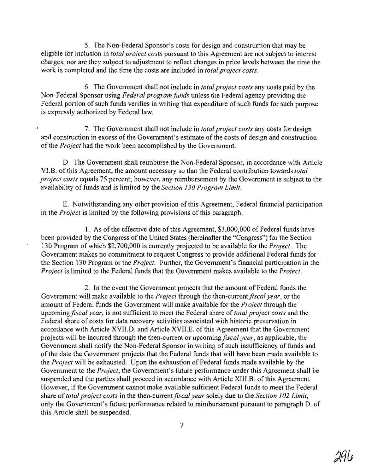5. The Non-Federal Sponsor's costs for design and construction that may be eligible for inclusion in *total project costs* pursuant to this Agreement are not subject to interest charges, nor are they subject to adjustment to reflect changes in price levels between the time the work is completed and the time the costs are included in *total project costs.*

6. The Government shall not include in *total project costs* any costs paid by the Non-Federal Sponsor using *Federal program funds* unless the Federal agency providing the Federal portion of such funds verifies in writing that expenditure of such funds for such purpose is expressly authorized by Federal law.

7. The Government shall not include in *total project costs* any costs for design and construction in excess of the Government's estimate of the costs of design and construction of the *Project* had the work been accomplished by the Government.

D. The Goyernment shall reimburse the Non-Federal Sponsor, in accordance with Article VI.B. ofthis Agreement, the amount necessary so that the Federal contribution towards *total project costs* equals 75 percent; however, any reimbursement by the Government is subject to the availability of funds and is limited by the *Section 130 Program Limit*.

E. Notwithstanding any other provision ofthis Agreement, Federal financial participation in the *Project* is limited by the following provisions of this paragraph.

1. As of the effective date of this Agreement, \$3,000,000 of Federal funds have been provided by the Congress of the United States (hereinafter the "Congress") for the Section 130 Program of which \$2,700,000 is currently projected to be available for the *Project.* The Government makes no commitment to request Congress to provide additional Federal funds for the Section 130 Program or the *Project.* Further, the Government's financial participation in the *Project* is limited to the Federal funds that the Government makes available to the *Project.*

2. In the event the Government projects that the amount of Federal funds the Government will make available to the *Project* through the then-current *fiscal year,* or the amount of Federal funds the Government will make available for the *Project* through the upcoming *fiscal year,* is not sufficient to meet the Federal share of*total project costs* and the Federal share of costs for data recovery activities associated with historic preservation in accordance with Article XVII.D. and Article XVII.E. of this Agreement that the Government projects will be incurred through the then-current or upcoming *fiscal year,* as applicable, the Government shall notify the Non-Federal Sponsor in writing of such insufficiency of funds and of the date the Government projects that the Federal funds that will have been made available to the *Project* will be exhausted. Upon the exhaustion of Federal funds made available by the Government to the *Project,* the Government's future performance under this Agreement shall be suspended and the parties shall proceed in accordance with Article XIII.B. of this Agreement. However, if the Government cannot make available sufficient Federal funds to meet the Federal share of *total project costs* in the then-current*fiscal year* solely due to the *Section 102 Limit,* only the Government's future performance related to reimbursement pursuant to paragraph D. of this Article shall be suspended.

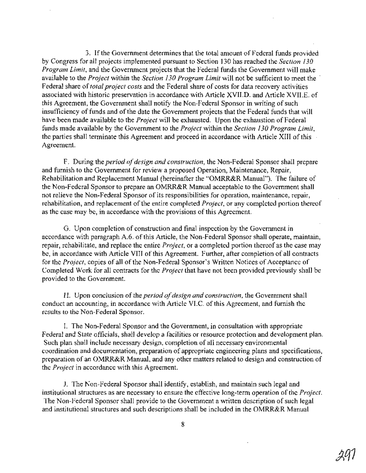3. Ifthe Government determines that the total amount of Federal funds provided by Congress for all projects implemented pursuant to Section 130 has reached the *Section 130 Program Limit,* and the Government projects that the Federal funds the Government will make available to the *Project* within the *Section 130 Program Limit* will not be sufficient to meet the Federal share of*total project costs* and the Federal share of costs for data recovery activities associated with historic preservation in accordance with Article XVII.D. and Article XVII.E. of this Agreement, the Government shall notify the Non-Federal Sponsor in writing of such insufficiency of funds and of the date the Government projects that the Federal funds that will have been made available to the *Project* will be exhausted. Upon the exhaustion of Federal funds made available by the Government to the *Project* within the *Section 130 Program Limit,* the parties shall terminate this Agreement and proceed in accordance with Article XIII ofthis Agreement.

F. During the *period ofdesign and construction,* the Non-Federal Sponsor shall prepare and furnish to the Government for review a proposed Operation, Maintenance, Repair, Rehabilitation and Replacement Manual (hereinafter the "OMRR&R Manual"). The failure of the Non-Federal Sponsor to prepare an OMRR&R Manual acceptable to the Government shall not relieve the Non-Federal Sponsor of its responsibilities for operation, maintenance, repair, rehabilitation, and replacement of the entire completed *Project*, or any completed portion thereof as the case may be, in accordance with the provisions ofthis Agreement.

G. Upon completion of construction and final inspection by the Government in accordance with paragraph A.6. of this Article, the Non-Federal Sponsor shall operate, maintain, repair, rehabilitate, and replace the entire *Project,* or a completed portion thereof as the case may be, in accordance with Article VIII of this Agreement. Further, after completion of all contracts for the *Project*, copies of all of the Non-Federal Sponsor's Written Notices of Acceptance of Completed Work for all contracts for the *Project* that have not been provided previously shall be provided to the Government.

H. Upon conclusion of the *period of design and construction*, the Government shall conduct an accounting, in accordance with Article VLC. of this Agreement, and furnish the results to the Non-Federal Sponsor.

I. The Non-Federal Sponsor and the Government, in consultation with appropriate Federal and State officials, shall develop a facilities or resource protection and development plan. Such plan shall include necessary design, completion of all necessary environmental coordination and documentation, preparation of appropriate engineering plans and specifications, preparation of an OMRR&R Manual, and any other matters related to design and construction of the *Project* in accordance with this Agreement.

J. The Non-Federal Sponsor shall identify, establish, and maintain such legal and institutional structures as are necessary to ensure the effective long-term operation of the *Project*. The Non-Federal Sponsor shall provide to the Government a written description of such legal and institutional structures and such descriptions shall be included in the OMRR&R Manual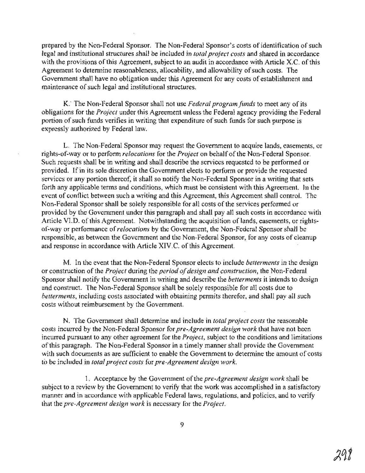prepared by the Non-Federal Sponsor. The Non-Federal Sponsor's costs of identification of such legal and institutional structures shall be included in *total project costs* and shared in accordance with the provisions of this Agreement, subject to an audit in accordance with Article X.C. of this Agreement to determine reasonableness, allocability, and allowability of such costs. The Government shall have no obligation under this Agreement for any costs of establishment and maintenance of such legal and institutional structures.

K: The Non-Federal Sponsor shall not use *Federal program funds* to meet any ofits obligations for the *Project* under this Agreement unless the Federal agency providing the Federal portion of such funds verifies in writing that expenditure of such funds for such purpose is expressly authorized by Federal law.

L. The Non-Federal Sponsor may request the Government to acquire lands, easements, or rights-of-way or to perform *relocations* for the *Project* on behalf ofthe Non-Federal Sponsor. Such requests shall be in writing and shall describe the services requested to be performed or provided. If in its sole discretion the Government elects to perform or provide the requested services or any portion thereof, it shall so notify the Non-Federal Sponsor in a writing that sets forth any applicable terms and conditions, which must be consistent with this Agreement. In the event of conflict between such a writing and this Agreement, this Agreement shall control. The Non-Federal Sponsor shall be solely responsible for all costs of the services performed or provided by the Government under this paragraph and shall pay all such costs in accordance with Article VI.D. of this Agreement. Notwithstanding the acquisition of lands, easements, or rightsof-way or performance of*relocations* by the Government, the Non-Federal Sponsor shall be responsible, as between the Government and the Non-Federal Sponsor, for any costs of cleanup and response in accordance with Article XIV.C. of this Agreement.

M. In the event that the Non-Federal Sponsor elects to include *betterments* in the design or construction of the *Project* during the *period of design and construction*, the Non-Federal Sponsor shall notify the Government in writing and describe the *betterments* it intends to design and construct. The Non-Federal Sponsor shall be solely responsible for all costs due to *betterments*, including costs associated with obtaining permits therefor, and shall pay all such costs without reimbursement by the Government.

N. The Government shall determine and include in *total project costs* the reasonable costs incurred by the Non-Federal Sponsor for *pre-Agreement design work* that have not been incurred pursuant to any other agreement for the *Project,* subject to the conditions and limitations of this paragraph. The Non-Federal Sponsor in a timely manner shall provide the Government with such documents as are sufficient to enable the Government to determine the amount of costs to be included in *total project costs* for *pre-Agreement design work.*

1. Acceptance by the Government ofthe *pre-Agreement design work* shall be subject to a review by the Government to verify that the work was accomplished in a satisfactory manner and in accordance with applicable Federal laws, regulations, and policies, and to verify that the *pre-Agreement design work* is necessary for the *Project.*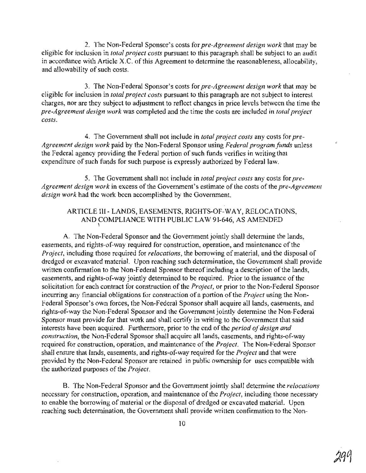2. The Non-Federal Sponsor's costs for *pre-Agreement design work* that may be eligible for inclusion in *total project costs* pursuant to this paragraph shall be subject to an audit in accordance with Article X.C. of this Agreement to determine the reasonableness, allocability, and allowability of such costs.

3. The Non-Federal Sponsor's costs for *pre-Agreement design work* that may be eligible for inclusion in *total project costs* pursuant to this paragraph are not subject to interest charges, nor are they subject to adjustment to reflect changes in price levels between the time the *pre-Agreement design work* was completed and the time the costs are included in *total project costs.*

4. The Government shall not include in *total project costs* any costs for *pre-Agreement design work* paid by the Non-Federal Sponsor using *Federal program funds* unless the Federal agency providing the Federal portion of such funds verifies in writing that expenditure of such funds for such purpose is expressly authorized by Federal law.

5. The Government shall not include in *total project costs* any costs for *pre-Agreement design work* in excess of the Government's estimate of the costs of the *pre-Agreement design work* had the work been accomplished by the Government.

#### ARTICLE **III-** LANDS, EASEMENTS, RIGHTS-OF-WAY, RELOCATIONS, AND COMPLIANCE WITH PUBLIC LAW 91-646, AS AMENDED  $\mathbf{I}$

A. The Non-Federal Sponsor and the Government jointly shall determine the lands, easements, and rights-of-way required for construction, operation, and maintenance of the *Project,* including those required for *relocations,* the borrowing of material, and the disposal of dredged or excavated material. Upon reaching such determination, the Government shall provide written confirmation to the Non-Federal Sponsor thereof including a description of the lands, easements, and rights-of-way jointly determined to be required. Prior to the issuance of the solicitation for each contract for construction of the *Project*, or prior to the Non-Federal Sponsor incurring any financial obligations for construction of a portion of the *Project* using the Non-Federal Sponsor's own forces, the Non-Federal Sponsor shall acquire all lands, easements, and rights-of-way the Non-Federal Sponsor and the Government jointly determine the Non-Federal Sponsor must provide for that work and shall certify in writing to the Government that said interests have been acquired. Furthermore, prior to the end of the *period of design and construction,* the Non-Federal Sponsor shall acquire all lands, easements, and rights-of-way required for construction, operation, and maintenance of the *Project*. The Non-Federal Sponsor shall ensure that lands, easements, and rights-of-way required for the *Project* and that were provided by the Non-Federal Sponsor are retained in public ownership for uses compatible with the authorized purposes of the *Project*.

B. The Non-Federal Sponsor and the Government jointly shall determine the *relocations* necessary for construction, operation, and maintenance of the *Project*, including those necessary to enable the borrowing of material or the disposal of dredged or excavated material. Upon reaching such determination, the Government shall provide written confirmation to the Non-

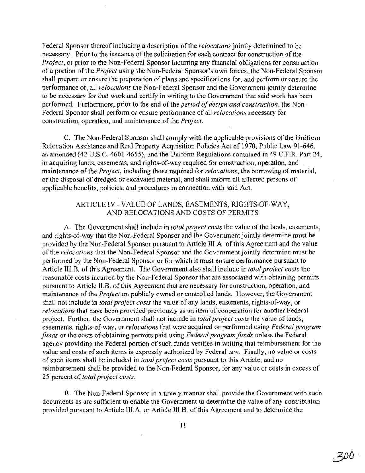Federal Sponsor thereof including a description of the *relocations* jointly determined to be necessary. Prior to the issuance of the solicitation for each contract for construction of the *Project*, or prior to the Non-Federal Sponsor incurring any financial obligations for construction of a portion of the *Project* using the Non-Federal Sponsor's own forces, the Non-Federal Sponsor shall prepare or ensure the preparation of plans and specifications for, and perform or ensure the performance of, all *relocations* the Non-Federal Sponsor and the Government jointly determine to be necessary for that work and certify in writing to the Government that said work has been performed. Furthermore, prior to the end of the *period of design and construction*, the Non-Federal Sponsor shall perform or ensure performance of all *relocations* necessary for construction, operation, and maintenance of the *Project*.

C. The Non-Federal Sponsor shall comply with the applicable provisions ofthe Uniform Relocation Assistance and Real Property Acquisition Policies Act of 1970, Public Law 91-646, as amended (42 U.S.C. 4601-4655), and the Uniform Regulations contained in 49 C.F.R. Part 24, in acquiring lands, easements, and rights-of-way required for construction, operation, and . maintenance ofthe *Project,* including those required for *relocations,* the borrowing of material, or the disposal of dredged or excavated material, and shall inform all affected persons of applicable benefits, policies, and procedures in connection with said Act.

# ARTICLE IV - VALUE OF LANDS, EASEMENTS, RIGHTS-OF-WAY, AND RELOCATIONS AND COSTS OF PERMITS

A. The Government shall include in *total project costs* the value ofthe lands, easements, and rights-of-way that the Non-Federal Sponsor and the Government jointly determine must be provided by the Non-Federal Sponsor pursuant to Article lILA. ofthis Agreement and the value ofthe *relocations* that the Non-Federal Sponsor and the Government jointly determine must be performed by the Non-Federal Sponsor or for which it must ensure performance pursuant to Article III.B. ofthis Agreement. The Government also shall include in *total project costs* the reasonable costs incurred by the Non-Federal Sponsor that are associated with obtaining permits pursuant to Article II.B. of this Agreement that are necessary for construction, operation, and maintenance ofthe *Project* on publicly owned or controlled lands. However, the Government shall not include in *total project costs* the value of any lands, easements, rights-of-way, or *relocations* that have been provided previously as an item of cooperation for another Federal project. Further, the Government shall not include in *total project costs* the value of lands, easements, rights-of-way, or *relocations* that were acquired or performed using *Federal program funds* or the costs of obtaining permits paid using *Federal program funds* unless the Federal agency providing the Federal portion of such funds verifies in writing that reimbursement for the value and costs of such items is expressly authorized by Federal law. Finally, no value or costs ofsuch items shall be included in *total project costs* pursuant to this Article, and no reimbursement shall be provided to the Non-Federal Sponsor, for any value or costs in excess of 25 percent of *total project costs.*

B. The Non-Federal Sponsor in a timely manner shall provide the Government with such documents as are sufficient to enable the Government to determine the value of any contribution provided pursuant to Article lILA. or Article IILB. ofthis Agreement and to determine the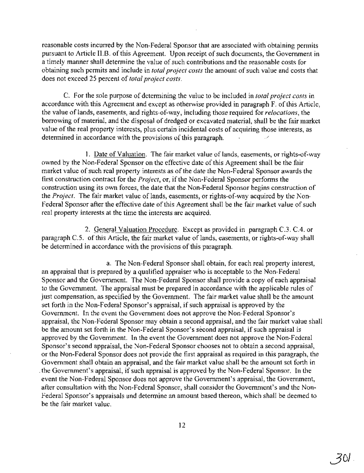reasonable costs incurred by the Non-Federal Sponsor that are associated with obtaining permits pursuant to Article II.B. of this Agreement. Upon receipt of such documents, the Government in a timely manner shall determine the value of such contributions and the reasonable costs for obtaining such permits and include in *total project costs* the amount of such value and costs that does not exceed 25 percent of *total project costs.*

C. For the sole purpose of determining the value to be included in *total project costs* in accordance with this Agreement and except as otherwise provided in paragraph F. of this Article, the value oflands, easements, and rights-of-way, including those required for *relocations,* the borrowing of material, and the disposal of dredged or excavated material, shall be the fair market value of the real property interests, plus certain incidental costs of acquiring those interests, as determined in accordance with the provisions of this paragraph.

1. Date of Valuation. The fair market value of lands, easements, or rights-of-way owned by the Non-Federal Sponsor on the effective date of this Agreement shall be the fair market value of such real property interests as of the date the Non-Federal Sponsor awards the first construction contract for the *Project*, or, if the Non-Federal Sponsor performs the construction using its own forces, the date that the Non-Federal Sponsor begins construction of the *Project.* The fair market value of lands, easements, or rights-of-way acquired by the Non-Federal Sponsor after the effective date of this Agreement shall be the fair market value of such real property interests at the time the interests are acquired.

2. General Valuation Procedure. Except as provided in paragraph C.3. CA. or paragraph C.5. of this Article, the fair market value of lands, easements, or rights-of-way shall be determined in accordance with the provisions of this paragraph.

a. The Non-Federal Sponsor shall obtain, for each real property interest, an appraisal that is prepared by a qualified appraiser who is acceptable to the Non-Federal Sponsor and the Government. The Non-Federal Sponsor shall provide a copy of each appraisal to the Government. The appraisal must be prepared in accordance with the applicable rules of just compensation, as specified by the Government. The fair market value shall be the amount set forth in the Non-Federal Sponsor's appraisal, if such appraisal is approved by the Government. In the event the Government does not approve the Non-Federal Sponsor's appraisal, the Non-Federal Sponsor may obtain a second appraisal, and the fair market value shall be the amount set forth in the Non-Federal Sponsor's second appraisal, if such appraisal is approved by the Government. In the event the Government does not approve the Non-Federal Sponsor's second appraisal, the Non-Federal Sponsor chooses not to obtain a second appraisal, or the Non-Federal Sponsor does not provide the first appraisal as required in this paragraph, the Government shall obtain an appraisal, and the fair market value shall be the amount set forth in the Government's appraisal, if such appraisal is approved by the Non-Federal Sponsor. In the event the Non-Federal Sponsor does not approve the Government's appraisal, the Government, after consultation with the Non-Federal Sponsor, shall consider the Government's and the Non-Federal Sponsor's appraisals and determine an amount based thereon, which shall be deemed to be the fair market value.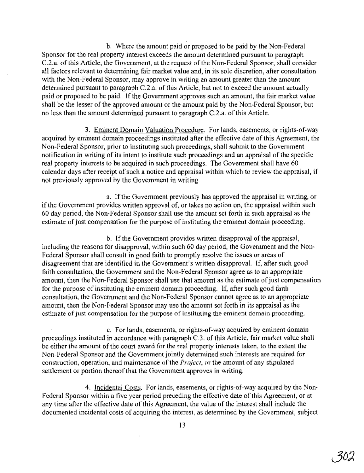b. Where the amount paid or proposed to be paid by the Non-Federal Sponsor for the real property interest exceeds the amount determined pursuant to paragraph C.2.a. of this Article, the Government, at the request of the Non-Federal Sponsor, shall consider all factors relevant to determining fair market value and, in its sole discretion, after consultation with the Non-Federal Sponsor, may approve in writing an amount greater than the amount determined pursuant to paragraph  $C.2.a.$  of this Article, but not to exceed the amount actually paid or proposed to be paid. If the Government approves such an amount, the fair market value shall be the lesser of the approved amount or the amount paid by the Non-Federal Sponsor, but no less than the amount determined pursuant to paragraph C.2.a. of this Article.

3. Eminent Domain Valuation Procedure. For lands, easements, or rights-of-way acquired by eminent domain proceedings instituted after the effective date of this Agreement, the Non-Federal Sponsor, prior to instituting such proceedings, shall submit to the Government notification in writing of its intent to institute such proceedings and an appraisal of the specific real property interests to be acquired in such proceedings. The Government shall have 60 calendar days after receipt of such a notice and appraisal within which to review the appraisal, if not previously approved by the Government in writing.

a. Ifthe Government previously has approved the appraisal in writing, or if the Government provides written approval of, or takes no action on, the appraisal within such 60 day period, the Non-Federal Sponsor shall use the amount set forth in such appraisal as the estimate of just compensation for the purpose of instituting the eminent domain proceeding.

b. If the Government provides written disapproval of the appraisal, including the reasons for disapproval, within such 60 day period, the Government and the Non-Federal Sponsor shall consult in good faith to promptly resolve the issues or areas of disagreement that are identified in the Government's written disapproval. If, after such good faith consultation, the Government and the Non-Federal Sponsor agree as to an appropriate amount, then the Non-Federal Sponsor shall use that amount as the estimate of just compensation for the purpose of instituting the eminent domain proceeding. If, after such good faith consultation, the Government and the Non-Federal Sponsor cannot agree as to an appropriate amount, then the Non-Federal Sponsor may use the amount set forth in its appraisal as the estimate of just compensation for the purpose of instituting the eminent domain proceeding.

c. For lands, easements, or rights-of-way acquired by eminent domain proceedings instituted in accordance with paragraph  $C.3$ . of this Article, fair market value shall be either the amount of the court award for the real property interests taken, to the extent the Non-Federal Sponsor and the Government jointly determined such interests are required for construction, operation, and maintenance of the *Project*, or the amount of any stipulated settlement or portion thereof that the Government approves in writing.

4. Incidental Costs. For lands, easements, or rights-of-way acquired by the Non-Federal Sponsor within a five year period preceding the effective date of this Agreement, or at any time after the effective date of this Agreement, the value of the interest shall include the documented incidental costs of acquiring the interest, as determined by the Government, subject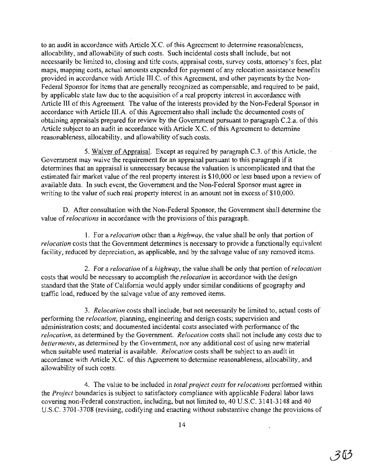to an audit in accordance with Article X.C. of this Agreement to determine reasonableness, allocability, and allowability of such costs. Such incidental costs shall include, but not necessarily be limited to, closing and title costs, appraisal costs, survey costs, attorney's fees, plat maps, mapping costs, actual amounts expended for payment of any relocation assistance benefits provided in accordance with Article III.C. of this Agreement, and other payments by the Non-Federal Sponsor for items that are generally recognized as compensable, and required to be paid, by applicable state law due to the acquisition of a real property interest in accordance with Article III of this Agreement. The value of the interests provided by the Non-Federal Sponsor in accordance with Article III.A. of this Agreement also shall include the documented costs of obtaining appraisals prepared for review by the Government pursuant to paragraph C.2.a. of this Article subject to an audit in accordance with Article X.C. of this Agreement to determine reasonableness, allocability, and allowability of such costs.

5. Waiver of Appraisal. Except as required by paragraph *C.3.* ofthis Article, the Government may waive the requirement for an appraisal pursuant to this paragraph if it determines that an appraisal is unnecessary because the valuation is uncomplicated and that the estimated fair market value of the real property interest is \$10,000 or less based upon a review of available data. In such event, the Government and the Non-Federal Sponsor must agree in writing to the value of such real property interest in an amount not in excess of  $$10,000$ .

D. After consultation with the Non-Federal Sponsor, the Government shall determine the value of*relocations* in accordance with the provisions ofthis paragraph.

1. For a *relocation* other than a *highway,* the value shall be only that portion of *relocation* costs that the Government determines is necessary to provide a functionally equivalent facility, reduced by depreciation, as applicable, and by the salvage value of any removed items.

2. For a *relocation* of a *highway,* the value shall be only that portion of*relocation* costs that would be necessary to accomplish the *relocation* in accordance with the design standard that the State of California would apply under similar conditions of geography and traffic load, reduced by the salvage value of any removed items.

*3. Relocation* costs shall include, but not necessarily be limited to, actual costs of performing the *relocation;* planning, engineering and design costs; supervision and administration costs; and documented incidental costs associated with performance of the *relocation,* as determined by the Government. *Relocation* costs shall not include any costs due to *betterments,* as determined by the Government, nor any additional cost of using new material when suitable used material is available. *Relocation* costs shall be subject to an audit in accordance with Article X.C. of this Agreement to determine reasonableness, allocability, and allowability of such costs.

4. The value to be included in *total project costs* for *relocations* performed within the *Project* boundaries is subject to satisfactory compliance with applicable Federal labor laws covering non-Federal construction, including, but not limited to, 40 U.S.C. 3141-3148 and 40 U.S.C. 3701-3708 (revising, codifying and enacting without substantive change the provisions of

J.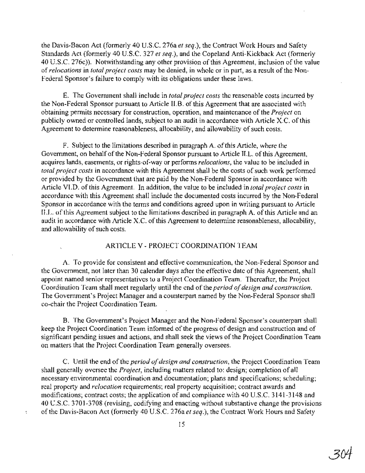the Davis-Bacon Act (formerly 40 U.S.C. 276a *et seq.),* the Contract Work Hours and Safety Standards Act (formerly 40 U.S.C. 327 *et seq.),* and the Copeland Anti-Kickback Act (formerly 40 U.S.C. 276c)). Notwithstanding any other provision of this Agreement, inclusion of the value of*relocations* in *totalproject costs* may be denied, in whole or in part, as a result ofthe Non-Federal Sponsor's failure to comply with its obligations under these laws.

E. The Government shall include in *total project costs* the reasonable costs incurred by the Non-Federal Sponsor pursuant to Article II.B. of this Agreement that are associated with obtaining permits necessary for construction, operation, and maintenance ofthe *Project* on publicly owned or controlled lands, subject to an audit in accordance with Article X.C. of this Agreement to determine reasonableness, allocability, and allowability of such costs.

F. Subject to the limitations described in paragraph A. ofthis Article, where the Government, on behalf of the Non-Federal Sponsor pursuant to Article II.L. of this Agreement, acquires lands, easements, or rights-of-way or performs *relocations,* the value to be included in total project costs in accordance with this Agreement shall be the costs of such work performed or provided by the Government that are paid by the Non-Federal Sponsor in accordance with Article VLD. ofthis Agreement. In addition, the value to be included in *total project costs* in accordance with this Agreement shall include the documented costs incurred by the Non-Federal Sponsor in accordance with the terms and conditions agreed upon in writing pursuant to Article ILL. ofthis Agreement subject to the limitations described in paragraph A. ofthis Article and an audit in accordance with Article X.C. of this Agreement to determine reasonableness, allocability, and allowability of such costs.

#### ARTICLE V - PROJECT COORDINATION TEAM

A. To provide for consistent and effective communication, the Non-Federal Sponsor and the Government, not later than 30 calendar days after the effective date of this Agreement, shall appoint named senior representatives to a Project Coordination Team. Thereafter, the Project Coordination Team shall meet regularly until the end of the *period of design and construction*. The Government's Project Manager and a counterpart named by the Non-Federal Sponsor shall co-chair the Project Coordination Team.

B. The Government's Project Manager and the.Non-Federal Sponsor's counterpart shall keep the Project Coordination Team informed of the progress of design and construction and of significant pending issues and actions, and shall seek the views of the Project Coordination Team on matters that the Project Coordination Team generally oversees.

C. Until the end of the *period of design and construction*, the Project Coordination Team shall generally oversee the *Project,* including matters related to: design; completion of all necessary environmental coordination and documentation; plans and specifications; scheduling; real property and *relocation* requirements; real property acquisition; contract awards and modifications; contract costs; the application of and compliance with 40 U.S.C. 3141-3148 and 40 U.S.C. 3701-3708 (revising, codifying and enacting without substantive change the provisions ofthe Davis-Bacon Act (formerly 40 U.S.c. 276a *et seq.),* the Contract Work Hours and Safety

 $\bar{\chi}$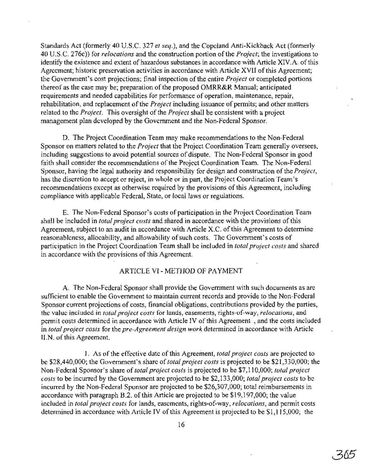Standards Act (formerly 40 U.S.C. 327 *et seq.),* and the Copeland Anti-Kickback Act (formerly 40 U.S.C. 276c)} for *relocations* and the construction portion ofthe *Project;* the investigations to identify the existence and extent of hazardous substances in accordance with Article XIV.A. of this Agreement; historic preservation activities in accordance with Article XVII of this Agreement; the Government's cost projections; final inspection of the entire *Project* or completed portions thereof as the case may be; preparation of the proposed OMRR&R Manual; anticipated requirements and needed capabilities for performance of operation, maintenance, repair, rehabilitation, and replacement of the *Project* including issuance of permits; and other matters related to the *Project*. This oversight of the *Project* shall be consistent with a project management plan developed by the Government and the Non-Federal Sponsor.

D. The Project Coordination Team may make recommendations to the Non-Federal Sponsor on matters related to the *Project* that the Project Coordination Team generally oversees, including suggestions to avoid potential sources of dispute. The Non-Federal Sponsor in good faith shall consider the recommendations of the Project Coordination Team. The Non-Federal Sponsor, having the legal authority and responsibility for design and construction of the *Project*, has the discretion to accept or reject, in whole or in part, the Project Coordination Team's recommendations except as otherwise required by the provisions of this Agreement, including compliance with applicable Federal, State, or local laws or regulations.

E. The Non-Federal Sponsor's costs of participation in the Project Coordination Team shall be included in *total project costs* and shared in accordance with the provisions ofthis Agreement, subject to an audit in accordance with Article X.C. of this Agreement to determine reasonableness, allocability, and allowability ofsuch costs. The Government's costs of participation in the Project Coordination Team shall be included in *total project costs* and shared in accordance with the provisions of this Agreement.

# ARTICLE VI - METHOD OF PAYMENT

A. The Non-Federal Sponsor shall provide the Government with such documents as are sufficient to enable the Government to maintain current records and provide to the Non-Federal Sponsor current projections of costs, financial obligations, contributions provided by the parties, the value included in *total project costs* for lands, easements, rights-of-way, *relocations,* and permit costs determined in accordance with Article IV of this Agreement, and the costs included in *total project costs* for the *pre-Agreement design work* determined in accordance with Article II.N. of this Agreement.

1. As ofthe effective date ofthis Agreement, *total project costs* are projected to be \$28,440,000; the Government's share of*total project costs* is projected to be \$21,330,000; the Non-Federal Sponsor's share of *total project costs* is projected to be \$7,110,000; *total project costs* to be incurred by the Government are projected to be \$2,133,000; *total project costs* to be incurred by the Non-Federal Sponsor are projected to be \$26,307,000; total reimbursements in accordance with paragraph B.2. of this Article are projected to be \$19,197,000; the value included in *total project costs* for lands, easements, rights-of-way, *relocations,* and permit costs determined in accordance with Article IV of this Agreement is projected to be  $$1,115,000$ ; the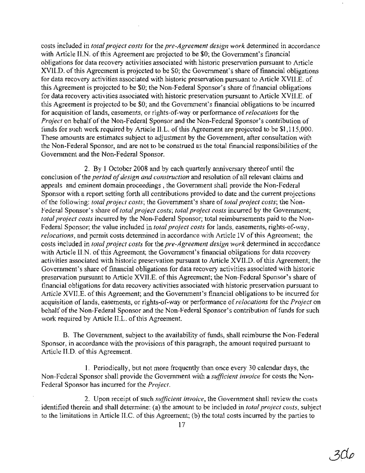costs included in *total project costs* for the *pre-Agreement design work* determined in accordance with Article II.N. of this Agreement are projected to be \$0; the Government's financial obligations for data recovery activities associated with historic preservation pursuant to Article XVII.D. of this Agreement is projected to be \$0; the Government's share of financial obligations for data recovery activities associated with historic preservation pursuant to Article XVII.E. of this Agreement is projected to be \$0; the Non-Federal Sponsor's share of financial obligations for data recovery activities associated with historic preservation pursuant to Article XVILE. of this Agreement is projected to be \$0; and the Government's financial obligations to be incurred for acquisition of lands, easements, or rights-of-way or performance of*relocations* for the Project on behalf of the Non-Federal Sponsor and the Non-Federal Sponsor's contribution of funds for such work required by Article ILL. of this Agreement are projected to be \$1,115,000. These amounts are estimates subject to adjustment by the Government, after consultation with the Non-Federal Sponsor, and are not to be construed as the total financial responsibilities of the Government and the Non-Federal Sponsor.

2. By 1 October 2008 and by each quarterly anniversary thereof until the conclusion of the *period of design and construction* and resolution of all relevant claims and appeals and eminent domain proceedings, the Government shall provide the Non-Federal Sponsor with a report setting forth all contributions provided to date and the current projections ofthe following: *total project costs;* the Government's share of *total project costs;* the Non-Federal Sponsor's share of*total project costs; total project costs* incurred by the Government; *total project costs* incurred by the Non-Federal Sponsor; total reimbursements paid to the Non-Federal Sponsor; the value included in *total project costs* for lands, easements, rights-of-way, *relocations,* and permit costs determined in accordance with Article IV ofthis Agreement; the costs included in *total project costs* for the *pre-Agreement design work* determined in accordance with Article II.N. of this Agreement; the Government's financial obligations for data recovery activities associated with historic preservation pursuant to Article XVII.D. ofthis Agreement; the Government's share of financial obligations for data recovery activities associated with historic preservation pursuant to Article XVII.E. of this Agreement; the Non-Federal Sponsor's share of financial obligations for data recovery activities associated with historic preservation pursuant to Article XVII.E. of this Agreement; and the Government's financial obligations to be incurred for acquisition of lands, easements, or rights-of-way or performance of*relocations* for the *Project* on behalf of the Non-Federal Sponsor and the Non-Federal Sponsor's contribution of funds for such work required by Article II.L. of this Agreement.

B. The Government, subject to the availability of funds, shall reimburse the Non-Federal Sponsor, in accordance with the provisions of this paragraph, the amount required pursuant to Article II.D. of this Agreement.

1. Periodically, but not more frequently than once every 30 calendar days, the Non-Federal Sponsor shall provide the Government with a *sufficient invoice* for costs the Non-Federal Sponsor has incurred for the *Project.*

2. Upon receipt of such *sufficient invoice*, the Government shall review the costs identified therein and shall determine: (a) the amount to be included in *total project costs,* subject to the limitations in Article II.C. of this Agreement; (b) the total costs incurred by the parties to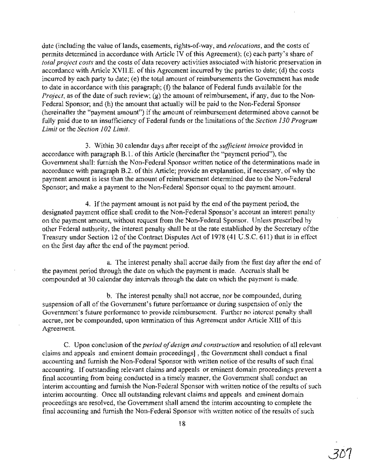date (including the value oflands, easements, rights-of-way, and *relocations,* and the costs of permits determined in accordance with Article IV of this Agreement); (c) each party's share of *total project costs* and the costs of data recovery activities associated with historic preservation in accordance with Article XVII.E. of this Agreement incurred by the parties to date; (d) the costs incurred by each party to date; (e) the total amount of reimbursements the Government has made to date in accordance with this paragraph; (f) the balance of Federal funds available for the *Project*, as of the date of such review; (g) the amount of reimbursement, if any, due to the Non-Federal Sponsor; and (h) the amount that actually will be paid to the Non-Federal Sponsor (hereinafter the "payment amount") if the amount of reimbursement determined above cannot be fully paid due to an insufficiency of Federal funds or the limitations ofthe *Section* J*30 Program Limit* or the *Section* J*02 Limit.*

3. Within 30 calendar days after receipt of the *sufficient invoice* provided in accordance with paragraph B.1. of this Article (hereinafter the "payment period"), the Government shall: furnish the Non-Federal Sponsor written notice of the determinations made in accordance with paragraph B.2. of this Article; provide an explanation, if necessary, of why the payment amount is less than the amount of reimbursement determined due to the Non-Federal Sponsor; and make a payment to the Non-Federal Sponsor equal to the payment amount.

4. Ifthe payment amount is not paid by the end ofthe payment period, the designated payment office shall credit to the Non-Federal Sponsor's account an interest penalty on the payment amount, without request from the Non-Federal Sponsor. Unless prescribed by other Federal authority, the interest penalty shall be at the rate established by the Secretary ofthe Treasury under Section 12 of the Contract Disputes Act of 1978 (41 U.S.C. 611) that is in effect on the first day after the end of the payment period.

a. The interest penalty shall accrue daily from the first day after the end of the payment period through the date on which the payment is made. Accruals shall be compounded at 30 calendar day intervals through the date on which the payment is made.

b. The interest penalty shall not accrue, nor be compounded, during suspension of all of the Government's future performance or during suspension of only the Government's future performance to provide reimbursement. Further no interest penalty shall accrue, nor be compounded, upon termination of this Agreement under Article XIII of this Agreement.

C. Upon conclusion ofthe *period ofdesign and construction* and resolution of all relevant claims and appeals and eminent domain proceedings} , the Government shall conduct a final accounting and furnish the Non-Federal Sponsor with written notice of the results of such final accounting. If outstanding relevant claims and appeals or eminent domain proceedings prevent a final accounting from being conducted in a timely manner, the Government shall conduct an interim accounting and furnish the Non-Federal Sponsor with written notice of the results of such interim accounting. Once all outstanding relevant claims and appeals and eminent domain .proceedings are resolved, the Government shall amend the interim accounting to complete the final accounting and furnish the Non-Federal Sponsor with written notice of the results of such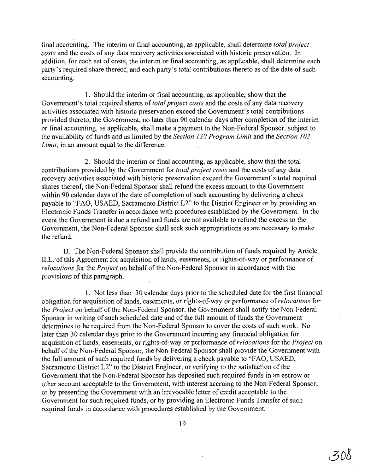final accounting. The interim or final accounting, as applicable, shall determine *total project costs* and the costs of any data recovery activities associated with historic preservation. In addition, for each set of costs, the interim or final accounting, as applicable, shall determine each party's required share thereof, and each party's total contributions thereto as of the date of such accounting.

1. Should the interim or final accounting, as applicable, show that the Government's total required shares of*total project costs* and the costs of any data recovery activities associated with historic preservation exceed the Government's total contributions provided thereto, the Government, no later than 90 calendar days after completion of the interim or final accounting, as applicable, shall make a payment to the Non-Federal Sponsor, subject to the availability of funds and as limited by the *Section 130 Program Limitand* the *Section 102 Limit,* in an amount equal to the difference.

2. Should the interim or final accounting, as applicable, show that the total contributions provided by the Government for *total project costs* and the costs of any data recovery activities associated with historic preservation exceed the Government's total required shares thereof, the Non-Federal Sponsor shall refund the excess amount to the Government within 90 calendar days of the date of completion of such accounting by delivering a check payable to "FAO, USAED, Sacramento District L2" to the District Engineer or by providing an Electronic Funds Transfer in accordance with procedures established by the Government. In the event the Government is due a refund and funds are not available to refund the excess to the Government, the Non-Federal Sponsor shall seek such appropriations as are necessary to make the refund.

D. The Non-Federal Sponsor shall provide the contribution of funds required by Article ILL. of this Agreement for acquisition of lands, easements, or rights-of-way or performance of *relocations* for the *Project* on behalf of the Non-Federal Sponsor in accordance with the provisions of this paragraph.

1. Not less than 30 calendar days prior to the scheduled date for the first financial obligation for acquisition of lands, easements, or rights-of-way or performance of*relocations* for the *Project* on behalf of the Non-Federal Sponsor, the Government shall notify the Non-Federal Sponsor in writing of such scheduled date and of the full amount of funds the Government determines to be required from the Non-Federal Sponsor to cover the costs of such work. No later than 30 calendar days prior to the Government incurring any financial obligation for acquisition oflands, easements, or rights-of-way or performance of*relocations* for the *Project* on behalf of the Non-Federal Sponsor, the Non-Federal Sponsor shall provide the Government with the full amount of such required funds by delivering a check payable to "FAO, USAED, Sacramento District L2" to the District Engineer, or verifying to the satisfaction of the Government that the Non-Federal Sponsor has deposited such required funds in an escrow or other account acceptable to the Government, with interest accruing to the Non-Federal Sponsor, or by presenting the Government with an irrevocable letter of credit acceptable to the Government for such required funds, or by providing an Electronic Funds Transfer of such required funds in accordance with procedures established by the Government.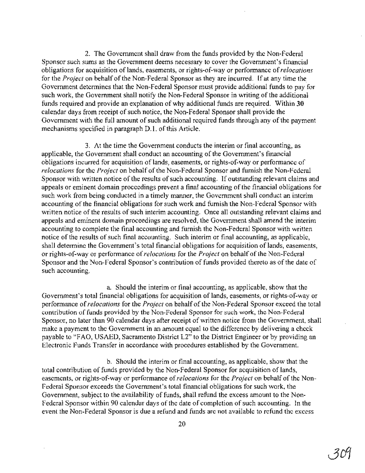2. The Government shall draw from the funds provided by the Non-Federal Sponsor such sums as the Government deems necessary to cover the Government's financial obligations for acquisition of lands, easements, or rights-of-way or performance of*relocations* for the *Project* on behalf of the Non-Federal Sponsor as they are incurred. If at any time the Government determines that the Non-Federal Sponsor must provide additional funds to pay for such work, the Government shall notify the Non-Federal Sponsor in writing of the additional funds required and provide an explanation of why additional funds are required. Within **30** calendar days from receipt of such notice, the Non-Federal Sponsor shall provide the Government with the full amount of such additional required funds through any of the payment mechanisms specified in paragraph D.1. of this Article.

3. At the time the Government conducts the interim or final accounting, as applicable, the Government shall conduct an accounting of the Government's financial obligations incurred for acquisition of lands, easements, or rights-of-way or performance of *relocations* for the *Project* on behalf of the Non-Federal Sponsor and furnish the Non-Federal Sponsor with written notice of the results of such accounting. If outstanding relevant claims and appeals or eminent domain proceedings prevent a final accounting of the financial obligations for such work from being conducted in a timely manner, the Government shall conduct an interim accounting of the financial obligations for such work and furnish the Non-Federal Sponsor with written notice of the results of such interim accounting. Once all outstanding relevant claims and appeals and eminent domain proceedings are resolved, the Government shall amend the interim accounting to complete the final accounting and furnish the Non-Federal Sponsor with written notice of the results of such final accounting. Such interim or final accounting, as applicable, shall determine the Government's total financial obligations for acquisition of lands, easements, or rights-of-way or performance of*relocations* for the *Project* on behalf ofthe Non-Federal Sponsor and the Non-Federal Sponsor's contribution of funds provided thereto as of the date of such accounting.

a. Should the interim or final accounting, as applicable, show that the Government's total financial obligations for acquisition of lands, easements, or rights-of-way or performance of*relocations* for the *Project* on behalf ofthe Non-Federal Sponsor exceed the total contribution of funds provided by the Non-Federal Sponsor for such work, the Non-Federal Sponsor, no later than 90 calendar days after receipt of written notice from the Government, shall make a payment to the Government in an amount equal to the difference by delivering a check payable to "FAO, USAED, Sacramento District L2" to the District Engineer or by providing an Electronic Funds Transfer in accordance with procedures established by the Government.

b. Should the interim or final accounting, as applicable, show that the total contribution of funds provided by the Non-Federal Sponsor for acquisition of lands, easements, or rights-of-way or performance of *relocations* for the *Project* on behalf of the Non-Federal Sponsor exceeds the Government's total financial obligations for such work, the Government, subject to the availability of funds, shall refund the excess amount to the Non-Federal Sponsor within 90 calendar days of the date of completion of such accounting. In the event the Non-Federal Sponsor is due a refund and funds are not available to refund the excess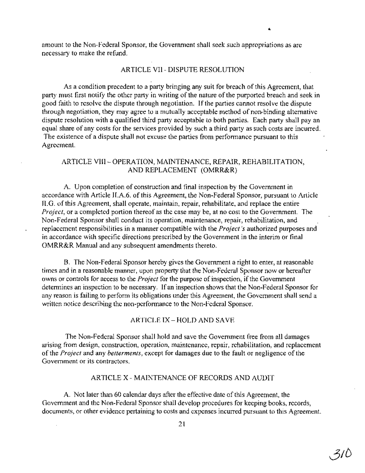amount to the Non-Federal Sponsor, the Government shall seek such appropriations as are necessary to make the refund.

#### ARTICLE VII - DISPUTE RESOLUTION

As a condition precedent to a party bringing any suit for breach of this Agreement, that party must first notify the other party in writing of the nature of the purported breach and seek in good faith to resolve the dispute through negotiation. Ifthe parties cannot resolve the dispute through negotiation, they may agree to a mutually acceptable method of non-binding alternative dispute resolution with a qualified third party acceptable to both parties. Each party shall pay an equal share of any costs for the services provided by such a third party as such costs are incurred. The existence of a dispute shall not excuse the parties from performance pursuant to this Agreement.

# ARTICLE VIII- OPERATION, MAINTENANCE, REPAIR, REHABILITATION, AND REPLACEMENT (OMRR&R)

A. Upon completion of construction and final inspection by the Government in accordance with Article II.A.6. of this Agreement, the Non-Federal Sponsor, pursuant to Article II.G. of this Agreement, shall operate, maintain, repair, rehabilitate, and replace the entire *Project,* or a completed portion thereof as the case may be, at no cost to the Government. The Non-Federal Sponsor shall conduct its operation, maintenance, repair, rehabilitation, and replacement responsibilities in a manner compatible with the *Project's* authorized purposes and in accordance with specific directions prescribed by the Government in the interim or final OMRR&R Manual and any subsequent amendments thereto.

B. The Non-Federal Sponsor hereby gives the Government a right to enter, at reasonable times and in a reasonable manner, upon property that the Non-Federal Sponsor now or hereafter owns or controls for access to the *Project* for the purpose of inspection, if the Government determines an inspection to be necessary. If an inspection shows that the Non-Federal Sponsor for any reason is failing to perform its obligations under this Agreement, the Government shall send a written notice describing the non-performance to the Non-Federal Sponsor.

ARTICLE IX - HOLD AND SAVE

The Non-Federal Sponsor shall hold and save the Government free from all damages arising from design, construction, operation, maintenance, repair, rehabilitation, and replacement ofthe *Project* and any *betterments,* except for damages due to the fault or negligence ofthe Government or its contractors.

### ARTICLE X - MAINTENANCE OF RECORDS AND AUDIT

A. Not later than 60 calendar days after the effective date of this Agreement, the Government and the Non-Federal Sponsor shall develop procedures for keeping books, records, documents, or other evidence pertaining to costs and expenses incurred pursuant to this Agreement.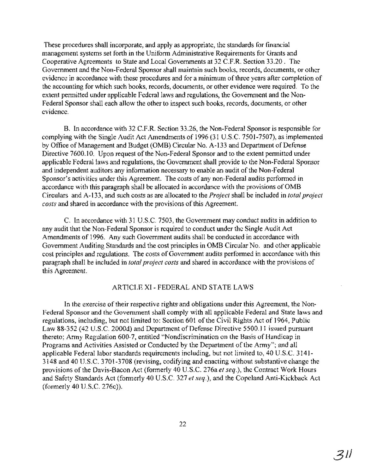These procedures shall incorporate, and apply as appropriate, the standards for financial management systems set forth in the Uniform Administrative Requirements for Grants and Cooperative Agreements to State and Local Governments at 32 C.F.R. Section 33.20. The Government and the Non-Federal Sponsor shall maintain such books, records, documents, or other evidence in accordance with these procedures and for a minimum of three years after completion of the accounting for which such books, records, documents, or other evidence were required. To the extent permitted under applicable Federal laws and regulations, the Government and the Non-Federal Sponsor shall each allow the other to inspect such books; records, documents, or other evidence.

B. In accordance with 32 C.F.R. Section 33.26, the Non-Federal Sponsor is responsible for complying with the Single Audit Act Amendments of 1996 (31 U.S.C. 7501-7507), as implemented by Office of Management and Budget (OMB) Circular No. A-133 and Department of Defense Directive 7600.10, Upon request of the Non-Federal Sponsor and to the extent permitted under applicable Federal laws and regulations, the Government shall provide to the Non-Federal Sponsor and independent auditors any information necessary to enable an audit of the Non-Federal Sponsor's activities under this Agreement. The costs of any non-Federal audits performed in accordance with this paragraph shall be allocated in accordance with the provisions ofOMB Circulars and A-133, and such costs as are allocated to the *Project* shall be included in *total project costs* and shared in accordance with the provisions of this Agreement.

C. In accordance with 31 U.S.C. 7503, the Government may conduct audits in addition to any audit that the Non-Federal Sponsor is required to conduct under the Single Audit Act Amendments of 1996. Any such Government audits shall be conducted in accordance with Government Auditing Standards and the cost principles in OMB Circular No. and other applicable cost principles and regulations. The costs of Government audits performed in accordance with this paragraph shall be included in *total project costs* and shared in accordance with the provisions of this Agreement.

### ARTICLE XI - FEDERAL AND STATE LAWS

In the exercise of their respective rights and obligations under this Agreement, the Non-Federal Sponsor and the Government shall comply with all applicable Federal and State laws and regulations, including, but not limited to: Section 601 of the Civil Rights Act of 1964, Public Law 88-352 (42U.S.C. 2000d) and Department of Defense Directive 5500.11 issued pursuant thereto; Army Regulation 600-7, entitled "Nondiscrimination on the Basis of Handicap in Programs and Activities Assisted or Conducted by the Department of the Army"; and all applicable Federal labor standards requirements including, but not limited to, 40 U.S.C. 3141-3148 and 40 U.S.C. 3701-3708 (revising, codifying and enacting without substantive change the provisions ofthe Davis-Bacon Act (formerly 40 U.S.C. 276a *et seq.),* the Contract Work Hours and Safety Standards Act (formerly 40 U.S.C. 327 *et seq.),* and the Copeland Anti-Kickback Act (formerly 40 U.S.C. 276c)).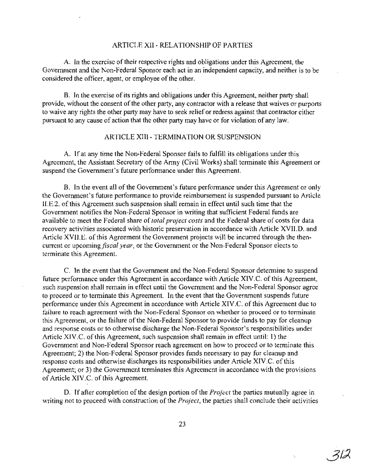### ARTICLE XII - RELATIONSHIP OF PARTIES

A. In the exercise oftheir respective rights and obligations under this Agreement, the Government and the Non-Federal Sponsor each act in an independent capacity, and neither is to be considered the officer, agent, or employee of the other.

B. In the exercise of its rights and obligations under this Agreement, neither party shall provide, without the consent of the other party, any contractor with a release that waives or purports to waive any rights the other party may have to seek relief or redress against that contractor either pursuant to any cause of action that the other party may have or for violation of any law.

## ARTICLE XIII - TERMINATION OR SUSPENSION

A. If at any time the Non-Federal Sponsor fails to fulfill its obligations under this Agreement, the Assistant Secretary of the Army (Civil Works) shall terminate this Agreement or suspend the Government's future performance under this Agreement.

B. In the event all of the Government's future performance under this Agreement or only the Government's future performance to provide reimbursement is suspended pursuant to Article II.E.2. ofthis Agreement such suspension shall remain in effect until such time that the Government notifies the Non-Federal Sponsor in writing that sufficient Federal funds are available to meet the Federal share of*total project costs* and the Federal share of costs for data recovery activities associated with historic preservation in accordance with Article XVII.D. and Article XVII.E. of this Agreement the Government projects will be incurred through the thencurrent or upcoming *fiscal year,* or the Government or the Non-Federal Sponsor elects to terminate this Agreement.

C. In the event that the Government and the Non-Federal Sponsor determine to suspend future performance under this Agreement in accordance with Article XIV.C. of this Agreement, such suspension shall remain in effect until the Government and the Non-Federal Sponsor agree to proceed or to terminate this Agreement. In the event that the Government suspends future performance under this Agreement in accordance with Article XIV.C. of this Agreement due to failure to reach agreement with the Non-Federal Sponsor on whether to proceed or to terminate this Agreement, or the failure of the Non-Federal Sponsor to provide funds to pay for cleanup and response costs or to otherwise discharge the Non-Federal Sponsor's responsibilities under Article XIV.C. of this Agreement, such suspension shall remain in effect until: 1) the Government and Non-Federal Sponsor reach agreement on how to proceed or to terminate this Agreement; 2) the Non-Federal Sponsor provides funds necessary to pay for cleanup and response costs and otherwise discharges its responsibilities under Article XIV.C. ofthis Agreement; or 3) the Government terminates this Agreement in accordance with the provisions of Article XIV.C. of this Agreement.

D. If after completion of the design portion of the *Project* the parties mutually agree in writing not to proceed with construction of the *Project*, the parties shall conclude their activities

71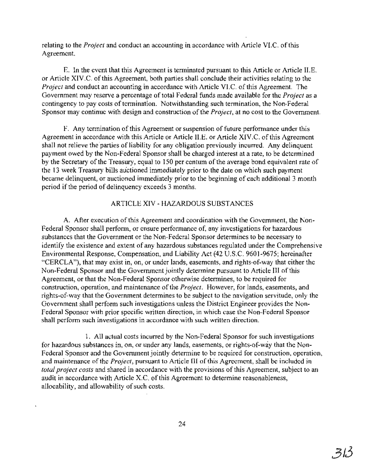relating to the *Project* and conduct an accounting in accordance with Article VI.C. of this Agreement.

E. In the event that this Agreement is terminated pursuant to this Article or Article II.E. or Article XIV.C. ofthis Agreement, both parties shall conclude their activities relating to the *Project* and conduct an accounting in accordance with Article VLC. of this Agreement. The Government may reserve a percentage of total Federal funds made available for the *Project* as a contingency to pay costs of termination. Notwithstanding such termination, the Non-Federal Sponsor may continue with design and construction of the *Project*, at no cost to the Government.

F. Any termination of this Agreement or suspension of future performance under this Agreement in accordance with this Article or Article II.E. or Article XIV.C. ofthis Agreement shall not relieve the parties of liability for any obligation previously incurred. Any delinquent payment owed by the Non-Federal Sponsor shall be charged interest at a rate, to be determined by the Secretary of the Treasury, equal to 150 per centum of the average bond equivalent rate of the 13 week Treasury bills auctioned immediately prior to the date on which such payment became delinquent, or auctioned immediately prior to the beginning of each additional 3 month period if the period of delinquency exceeds 3 months.

# ARTICLE XIV - HAZARDOUS SUBSTANCES

A. After execution of this Agreement and coordination with the Government, the Non-Federal Sponsor shall perform, or ensure performance of, any investigations for hazardous substances that the Government or the Non-Federal Sponsor determines to be necessary to identify the existence and extent of any hazardous substances regulated under the Comprehensive Environmental Response, Compensation, and Liability Act (42 U.S.C. 9601-9675; hereinafter "CERCLA"), that may exist in, on, or under lands, easements, and rights-of-way that either the Non-Federal Sponsor and the Government jointly determine pursuant to Article III ofthis Agreement, or that the Non-Federal Sponsor otherwise determines, to be required for construction, operation, and maintenance of the *Project*. However, for lands, easements, and rights-of-way that the Government determines to be subject to the navigation servitude, only the Government shall perform such investigations unless the District Engineer provides the Non-Federal Sponsor with prior specific written direction, in which case the Non-Federal Sponsor shall perform such investigations in accordance with such written direction.

1. All actual costs incurred by the Non-Federal Sponsor for such investigations for hazardous substances in, on, or under any lands, easements, or rights-of-way that the Non-Federal Sponsor and the Government jointly determine to be required for construction, operation, and maintenance of the *Project*, pursuant to Article III of this Agreement, shall be included in *total project costs* and shared in accordance with the provisions of this Agreement, subject to an audit in accordance with Article X.C. of this Agreement to determine reasonableness, allocability, and allowability of such costs.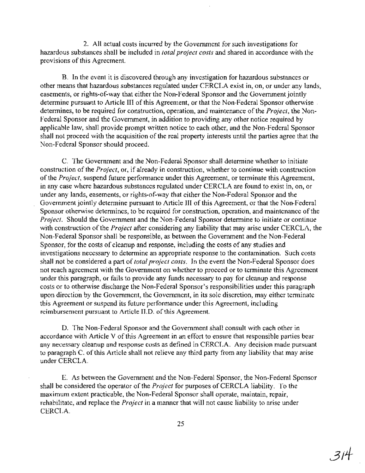2. All actual costs incurred by the Government for such investigations for hazardous substances shall be included in *total project costs* and shared in accordance with the provisions of this Agreement.

B. In the event it is discovered through any investigation for hazardous substances or other means that hazardous substances regulated under CERCLA exist in, on, or under any lands, easements, or rights-of-way that either the Non-Federal Sponsor and the Government jointly determine pursuant to Article III of this Agreement, or that the Non-Federal Sponsor otherwise. determines, to be required for construction, operation, and maintenance ofthe *Project,* the Non-Federal Sponsor and the Government, in addition to providing any other notice required by applicable law, shall provide prompt written notice to each other, and the Non-Federal Sponsor shall not proceed with the acquisition of the real property interests until the parties agree that the Non-Federal Sponsor should proceed.

C. The Government and the Non-Federal Sponsor shall determine whether to initiate construction of the *Project*, or, if already in construction, whether to continue with construction of the *Project*, suspend future performance under this Agreement, or terminate this Agreement, in any case where hazardous substances regulated under CERCLA are found to exist in, on, or under any lands, easements, or rights-of-way that either the Non-Federal Sponsor and the Government jointly determine pursuant to Article III of this Agreement, or that the Non-Federal Sponsor otherwise determines, to be required for construction, operation, and maintenance of the *Project.* Should the Government and the Non-Federal Sponsor determine to initiate or continue with construction of the *Project* after considering any liability that may arise under CERCLA, the Non-Federal Sponsor shall be responsible, as between the Government and the Non-Federal Sponsor, for the costs of cleanup and response, including the costs of any studies and investigations necessary to determine an appropriate response to the contamination. Such costs shall not be considered a part of*total project costs.* In the event the Non-Federal Sponsor does not reach agreement with the Government on whether to proceed or to terminate this Agreement under this paragraph; or fails to provide any funds necessary to pay for cleanup and response costs or to otherwise discharge the Non-Federal Sponsor's responsibilities under this paragraph upon direction by the Government, the Government, in its sole discretion, may either terminate this Agreement or suspend its future performance under this Agreement, including reimbursement pursuant to Article II.D. of this Agreement.

D. The Non-Federal Sponsor and the Government shall consult with each other in accordance with Article V of this Agreement in an effort to ensure that responsible parties bear any necessary cleanup and response costs as defined in CERCLA. Any decision made pursuant to paragraph C. of this Article shall not relieve any third party from any liability that may arise under CERCLA.

E. As between the Government and the Non-Federal Sponsor, the Non-Federal Sponsor shall be considered the operator of the *Project* for purposes of CERCLA liability. To the maximum extent practicable, the Non-Federal Sponsor shall operate, maintain, repair, rehabilitate, and replace the *Project* in a manner that will not cause liability to arise under CERCLA.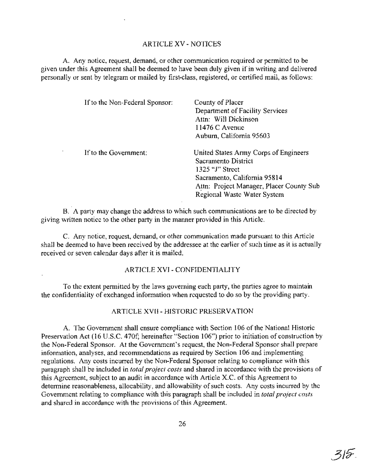### ARTICLE XV - NOTICES

A. Any notice, request, demand, or other communication required or permitted to be given under this Agreement shall be deemed to have been duly given if in writing and delivered personally or sent by telegram or mailed by first-class, registered, or certified mail, as follows:

| If to the Non-Federal Sponsor: | County of Placer<br>Department of Facility Services<br>Attn: Will Dickinson<br>11476 C Avenue<br>Auburn, California 95603                                   |
|--------------------------------|-------------------------------------------------------------------------------------------------------------------------------------------------------------|
| If to the Government:          | United States Army Corps of Engineers<br>Sacramento District<br>1325 "J" Street<br>Sacramento, California 95814<br>Attn: Project Manager, Placer County Sub |
|                                | Regional Waste Water System                                                                                                                                 |

B. A party may change the address to which such communications are to be directed by giving written notice to the other party in the manner provided in this Article.

C. Any notice, request, demand, or other communication made pursuant to this Article shall be deemed to have been received by the addressee at the earlier of such time as it is actually received or seven calendar days after it is mailed.

#### ARTICLE XVI - CONFIDENTIALITY

To the extent permitted by the laws governing each party, the parties agree to maintain the confidentiality of exchanged information when requested to do so by the providing party.

#### ARTICLE XVII - HISTORlC PRESERVATION

A. The Government shall ensure compliance with Section 106 ofthe National Historic Preservation Act (16 U.S.C. 470f; hereinafter "Section 106") prior to initiation of construction by the Non-Federal Sponsor. At the Government's request, the Non-Federal Sponsor shall prepare information, analyses, and recommendations as required by Section 106 and implementing regulations. Any costs incurred by the Non-Federal Sponsor relating to compliance with this paragraph shall be included in *total project costs* and shared in accordance with the provisions of this Agreement, subject to an audit in accordance with Article X.C. of this Agreement to determine reasonableness, allocability, and allowability of such costs. Any costs incurred by the Government relating to compliance with this paragraph shall be included in *total project costs* and shared in accordance with the provisions of this Agreement.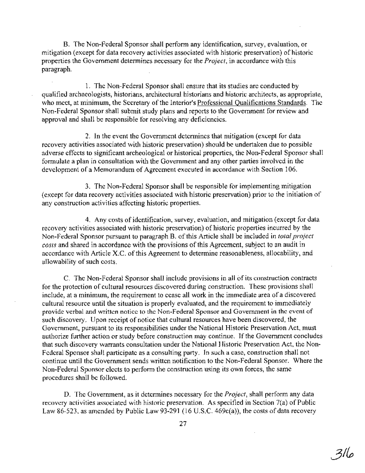B. The Non-Federal Sponsor shall perform any identification, survey, evaluation, or mitigation (except for data recovery activities associated with historic preservation) of historic properties the Government determines necessary for the *Project,* in accordancewith this paragraph. "

1. The Non-Federal Sponsor shall ensure that its studies are conducted by. qualified archaeologists, historians, architectural historians and historic architects, as appropriate, who meet, at minimum, the Secretary of the Interior's Professional Qualifications Standards. The Non-Federal Sponsor shall submit study plans and reports to the Government for review and approval and shall be responsible for resolving any deficiencies.

2. In the event the Government determines that mitigation (except for data recovery activities associated with historic preservation) should be undertaken due to possible adverse effects to significant archeological or historical properties, the Non-Federal Sponsor shall formulate a plan in consultation with the Government and any other parties involved in the development of a Memorandum of Agreement executed in accordance with Section 106.

3. The Non-Federal Sponsor shall be responsible for implementing mitigation .(except for data recovery activities associated with historic preservation) prior to the initiation of any construction activities affecting historic properties.

4. Any costs of identification, survey, evaluation, and mitigation (except for data recovery activities associated with historic preservation) of historic properties incurred by the Non-Federal Sponsor pursuant to paragraph B. of this Article shall be included in *total project costs* and shared in accordance with the provisions of this Agreement, subject to an audit in accordance with Article X.C. of this Agreement to determine reasonableness, allocability, and allowability of such costs.

C. The Non-Federal Sponsor shall include provisions in all ofits construction contracts for the protection of cultural resources discovered during construction. These provisions shall include, at a minimum, the requirement to cease all work in the immediate area of a discovered cultural resource until the situation is properly evaluated, and the requirement to immediately provide verbal and written notice to the Non-Federal Sponsor and Government in the event of such discovery. Upon receipt of notice that cultural resources have been discovered, the Government, pursuant to its responsibilities under the National Historic Preservation Act, must authorize further action or study before construction may continue. If the Government concludes that such discovery warrants consultation under the National Historic Preservation Act, the Non-Federal Sponsor shall participate as a consulting party. In such a case, construction shall not continue until the Government sends written notification to the Non-Federal Sponsor. Where the Non-Federal Sponsor elects to perform the construction using its own forces, the same procedures shall be followed.

D. The Government, as it determines necessary for the *Project,* shall perform any data recovery activities associated with historic preservation. As specified in Section 7(a) of Public Law 86-523, as amended by Public Law 93-291 (16 U.S.C. 469 $c(a)$ ), the costs of data recovery

- 31 lo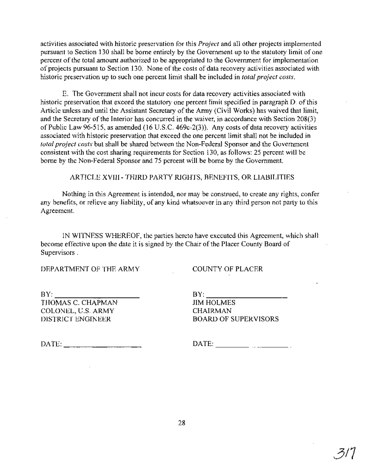activities associated with historic preservation for this *Project* and all other projects implemented pursuant to Section 130 shall be borne entirely by the Government up to the statutory limit of one percent of the total amount authorized to be appropriated to the Government for implementation of projects pursuant to Section 130. None of the costs of data recovery activities associated with historic preservation up to such one percent limit shall be included in *total project costs.*

E. The Government shall not incur costs for data recovery activities associated with historic preservation that exceed the statutory one percent limit specified in paragraph D. of this Article unless and until the Assistant Secretary of the Army (Civil Works) has waived that limit, and the Secretary of the Interior has concurred in the waiver, in accordance with Section 208(3) of Public Law 96-515, as amended (16 U.S.C. 469c-2(3)). Any costs of data recovery activities associated with historic preservation that exceed the one percent limit shall not be included in *total project costs* but shall be shared between the Non-Federal Sponsor and the Government consistent with the cost sharing requirements for Section 130, as follows: 25 percent will be borne by the Non-Federal Sponsor and 75 percent will be borne by the Government.

ARTICLE XVIII- THIRD PARTY RIGHTS, BENEFITS, OR LIABILITIES

Nothing in this Agreement is intended, nor may be construed, to create any rights, confer any benefits, or relieve any liability, of any kind whatsoever in any third person not party to this Agreement.

IN WITNESS WHEREOF, the parties hereto have executed this Agreement, which shall become effective upon the date it is signed by the Chair of the Placer County Board of Supervisors.

DEPARTMENT OF THE ARMY

COUNTY OF PLACER

 $BY:$ 

THOMAS C. CHAPMAN COLONEL, U.S. ARMY DISTRICT ENGINEER

 $BY:$ JIM HOLMES CHAIRMAN BOARD OF SUPERVISORS

 $\text{DATE:}$ 

DATE: \_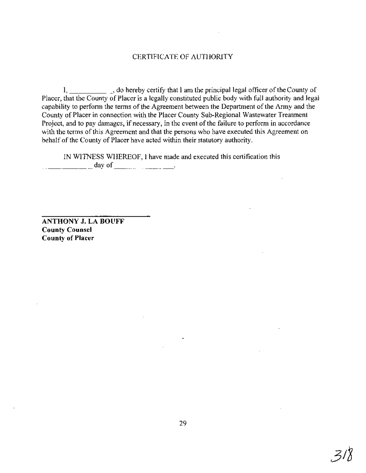# CERTIFICATE OF AUTHORITY

 $1, \underline{\hspace{2cm}}$ , do hereby certify that I am the principal legal officer of the County of Placer, that the County of Placer is a legally constituted public body with full authority and legal capability to perform the terms of the Agreement between the Department of the Army and the County of Placer in connection with the Placer County Sub-Regional Wastewater Treatment Project, and to pay damages, if necessary, in the event of the failure to perform in accordance with the terms of this Agreement and that the persons who have executed this Agreement on behalf of the County of Placer have acted within their statutory authority.

IN WITNESS WHEREOF, I have made and executed this certification this  $\frac{1}{2}$   $\frac{1}{2}$   $\frac{1}{2}$   $\frac{1}{2}$   $\frac{1}{2}$   $\frac{1}{2}$   $\frac{1}{2}$   $\frac{1}{2}$   $\frac{1}{2}$   $\frac{1}{2}$   $\frac{1}{2}$   $\frac{1}{2}$   $\frac{1}{2}$   $\frac{1}{2}$   $\frac{1}{2}$   $\frac{1}{2}$   $\frac{1}{2}$   $\frac{1}{2}$   $\frac{1}{2}$   $\frac{1}{2}$   $\frac{1}{2}$   $\frac{1}{2}$ 

**ANTHONY J. LA BOUFF County Counsel County of Placer**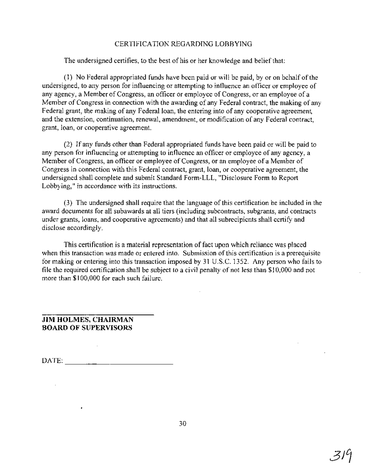# CERTIFICATION REGARDING LOBBYING

The undersigned certifies, to the best of his or her knowledge and belief that:

(1) No Federal appropriated funds have been paid or will be paid, by or on behalf ofthe undersigned, to any person for influencing or attempting to influence an officer or employee of any agency, a Member of Congress, an officer or employee of Congress, or an employee of a Member of Congress in connection with the awarding of any Federal contract, the making of any Federal grant, the making of any Federal loan, the entering into of any cooperative agreement, and the extension, continuation, renewal, amendment, or modification of any Federal contract, grant, loan, or cooperative agreement.

(2) If any funds other than Federal appropriated funds have been paid or will be paid to any person for influencing or attempting to influence an officer or employee of any agency, a Member of Congress, an officer or employee of Congress, or an employee of a Member of Congress in connection with this Federal contract, grant, loan, or cooperative agreement, the undersigned shall complete and submit Standard Form-LLL, "Disclosure Form to Report Lobbying," in accordance with its instructions.

(3) The undersigned shall require that the language of this certification be included in the award documents for all subawards at all tiers (including subcontracts, subgrants, and contracts under grants, loans, and cooperative agreements) and that all subrecipients shall certify and disclose accordingly,

This certification is a material representation of fact upon which reliance was placed when this transaction was made or entered into. Submission of this certification is a prerequisite for making or entering into this transaction imposed by 31 U.S.c. 1352. Any person who fails to file the required certification shall be subject to a civil penalty of not less than \$10,000 and not more than \$100,000 for each such failure.

# **JIM HOLMES, CHAIRMAN BOARD OF SUPERVISORS**

 $\bullet$ 

 $\sum_{n=1}^{\infty}$